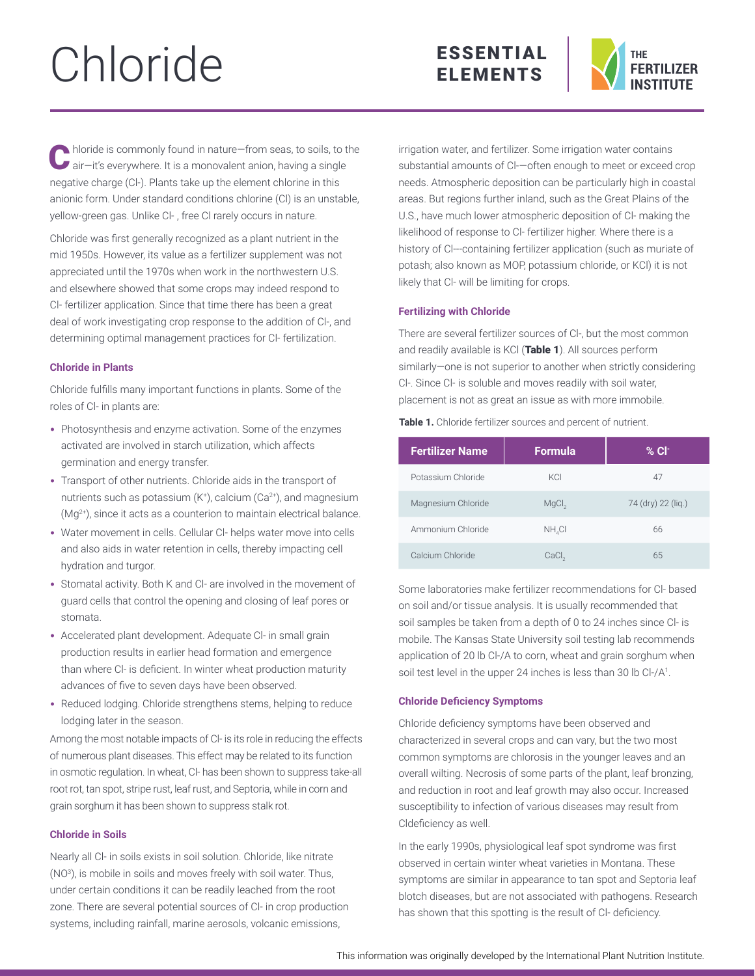# Chloride





 $\blacktriangle$  hloride is commonly found in nature-from seas, to soils, to the air-it's everywhere. It is a monovalent anion, having a single negative charge (Cl-). Plants take up the element chlorine in this anionic form. Under standard conditions chlorine (Cl) is an unstable, yellow-green gas. Unlike Cl- , free Cl rarely occurs in nature.

Chloride was first generally recognized as a plant nutrient in the mid 1950s. However, its value as a fertilizer supplement was not appreciated until the 1970s when work in the northwestern U.S. and elsewhere showed that some crops may indeed respond to Cl- fertilizer application. Since that time there has been a great deal of work investigating crop response to the addition of Cl-, and determining optimal management practices for Cl- fertilization.

# **Chloride in Plants**

Chloride fulfills many important functions in plants. Some of the roles of Cl- in plants are:

- Photosynthesis and enzyme activation. Some of the enzymes activated are involved in starch utilization, which affects germination and energy transfer.
- Transport of other nutrients. Chloride aids in the transport of nutrients such as potassium (K+ ), calcium (Ca2+), and magnesium (Mg2+), since it acts as a counterion to maintain electrical balance.
- Water movement in cells. Cellular Cl- helps water move into cells and also aids in water retention in cells, thereby impacting cell hydration and turgor.
- Stomatal activity. Both K and Cl- are involved in the movement of guard cells that control the opening and closing of leaf pores or stomata.
- Accelerated plant development. Adequate Cl- in small grain production results in earlier head formation and emergence than where Cl- is deficient. In winter wheat production maturity advances of five to seven days have been observed.
- Reduced lodging. Chloride strengthens stems, helping to reduce lodging later in the season.

Among the most notable impacts of Cl- is its role in reducing the effects of numerous plant diseases. This effect may be related to its function in osmotic regulation. In wheat, Cl- has been shown to suppress take-all root rot, tan spot, stripe rust, leaf rust, and Septoria, while in corn and grain sorghum it has been shown to suppress stalk rot.

# **Chloride in Soils**

Nearly all Cl- in soils exists in soil solution. Chloride, like nitrate (NO3 ), is mobile in soils and moves freely with soil water. Thus, under certain conditions it can be readily leached from the root zone. There are several potential sources of Cl- in crop production systems, including rainfall, marine aerosols, volcanic emissions,

irrigation water, and fertilizer. Some irrigation water contains substantial amounts of Cl-—often enough to meet or exceed crop needs. Atmospheric deposition can be particularly high in coastal areas. But regions further inland, such as the Great Plains of the U.S., have much lower atmospheric deposition of Cl- making the likelihood of response to Cl- fertilizer higher. Where there is a history of Cl---containing fertilizer application (such as muriate of potash; also known as MOP, potassium chloride, or KCl) it is not likely that Cl- will be limiting for crops.

# **Fertilizing with Chloride**

There are several fertilizer sources of Cl-, but the most common and readily available is KCl (Table 1). All sources perform similarly—one is not superior to another when strictly considering Cl-. Since Cl- is soluble and moves readily with soil water, placement is not as great an issue as with more immobile.

**Table 1.** Chloride fertilizer sources and percent of nutrient.

| <b>Fertilizer Name</b> | <b>Formula</b>    | $%$ Cl <sup>-</sup> |  |
|------------------------|-------------------|---------------------|--|
| Potassium Chloride     | KCI               | 47                  |  |
| Magnesium Chloride     | MgCl <sub>2</sub> | 74 (dry) 22 (lig.)  |  |
| Ammonium Chloride      | NH CI             | 66                  |  |
| Calcium Chloride       | CaCl <sub>2</sub> | 65                  |  |

Some laboratories make fertilizer recommendations for Cl- based on soil and/or tissue analysis. It is usually recommended that soil samples be taken from a depth of 0 to 24 inches since Cl- is mobile. The Kansas State University soil testing lab recommends application of 20 lb Cl-/A to corn, wheat and grain sorghum when soil test level in the upper 24 inches is less than 30 lb Cl-/A $^{\rm 1}$ .

# **Chloride Deficiency Symptoms**

Chloride deficiency symptoms have been observed and characterized in several crops and can vary, but the two most common symptoms are chlorosis in the younger leaves and an overall wilting. Necrosis of some parts of the plant, leaf bronzing, and reduction in root and leaf growth may also occur. Increased susceptibility to infection of various diseases may result from Cldeficiency as well.

In the early 1990s, physiological leaf spot syndrome was first observed in certain winter wheat varieties in Montana. These symptoms are similar in appearance to tan spot and Septoria leaf blotch diseases, but are not associated with pathogens. Research has shown that this spotting is the result of Cl- deficiency.